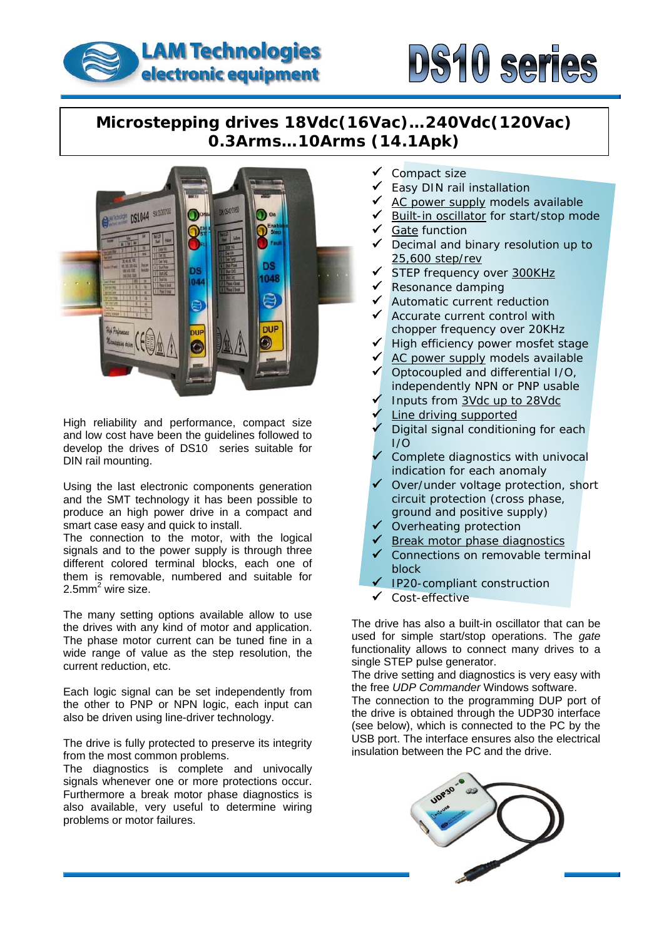



## **Microstepping drives 18Vdc(16Vac)…240Vdc(120Vac) 0.3Arms…10Arms (14.1Apk)**



High reliability and performance, compact size and low cost have been the guidelines followed to develop the drives of DS10 series suitable for DIN rail mounting.

Using the last electronic components generation and the SMT technology it has been possible to produce an high power drive in a compact and smart case easy and quick to install.

The connection to the motor, with the logical signals and to the power supply is through three different colored terminal blocks, each one of them is removable, numbered and suitable for 2.5mm<sup>2</sup> wire size.

The many setting options available allow to use the drives with any kind of motor and application. The phase motor current can be tuned fine in a wide range of value as the step resolution, the current reduction, etc.

Each logic signal can be set independently from the other to PNP or NPN logic, each input can also be driven using line-driver technology.

The drive is fully protected to preserve its integrity from the most common problems.

The diagnostics is complete and univocally signals whenever one or more protections occur. Furthermore a break motor phase diagnostics is also available, very useful to determine wiring problems or motor failures.

- Compact size
- Easy DIN rail installation
- AC power supply models available
- Built-in oscillator for start/stop mode
- **Gate function**
- Decimal and binary resolution up to 25,600 step/rev
- $\sqrt{ }$  STEP frequency over 300KHz
- Resonance damping
- Automatic current reduction
- Accurate current control with chopper frequency over 20KHz
- High efficiency power mosfet stage
- AC power supply models available
- 9 Optocoupled and differential I/O, independently NPN or PNP usable
- 9 Inputs from 3Vdc up to 28Vdc
- Line driving supported
- $\degree$  Digital signal conditioning for each I/O
- $\checkmark$  Complete diagnostics with univocal indication for each anomaly
- $\checkmark$  Over/under voltage protection, short circuit protection (cross phase, ground and positive supply)
- $\checkmark$  Overheating protection
- $\checkmark$  Break motor phase diagnostics
- ✔ Connections on removable terminal block
- $\checkmark$  IP20-compliant construction
- Cost-effective

The drive has also a built-in oscillator that can be used for simple start/stop operations. The *gate* functionality allows to connect many drives to a single STEP pulse generator.

The drive setting and diagnostics is very easy with the free *UDP Commander* Windows software.

USB port. The interface ensures also the electrical insulation between the PC and the drive. The connection to the programming DUP port of the drive is obtained through the UDP30 interface (see below), which is connected to the PC by the